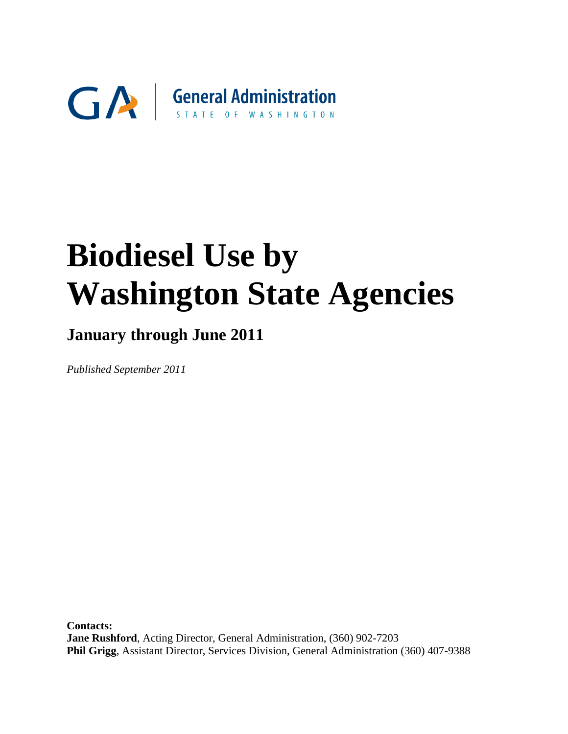

# **January through June 2011**

*Published September 2011* 

**Contacts: Jane Rushford**, Acting Director, General Administration, (360) 902-7203 **Phil Grigg**, Assistant Director, Services Division, General Administration (360) 407-9388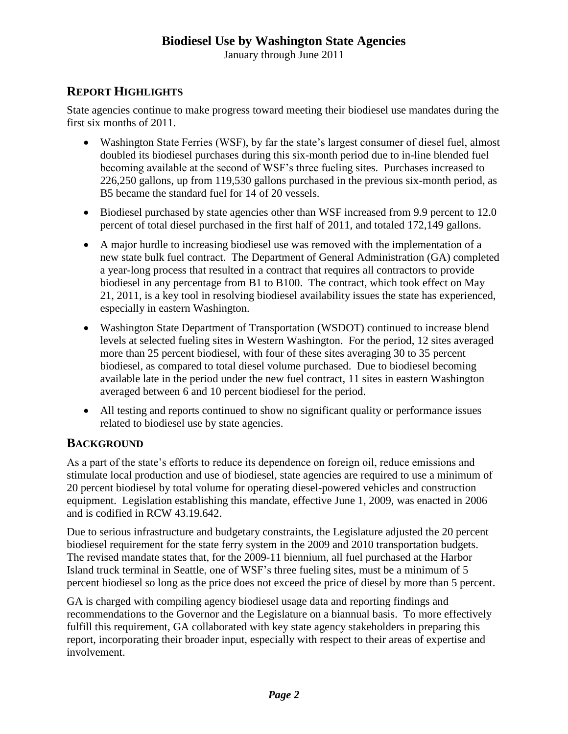January through June 2011

# **REPORT HIGHLIGHTS**

State agencies continue to make progress toward meeting their biodiesel use mandates during the first six months of 2011.

- Washington State Ferries (WSF), by far the state's largest consumer of diesel fuel, almost doubled its biodiesel purchases during this six-month period due to in-line blended fuel becoming available at the second of WSF's three fueling sites. Purchases increased to 226,250 gallons, up from 119,530 gallons purchased in the previous six-month period, as B5 became the standard fuel for 14 of 20 vessels.
- Biodiesel purchased by state agencies other than WSF increased from 9.9 percent to 12.0 percent of total diesel purchased in the first half of 2011, and totaled 172,149 gallons.
- A major hurdle to increasing biodiesel use was removed with the implementation of a new state bulk fuel contract. The Department of General Administration (GA) completed a year-long process that resulted in a contract that requires all contractors to provide biodiesel in any percentage from B1 to B100. The contract, which took effect on May 21, 2011, is a key tool in resolving biodiesel availability issues the state has experienced, especially in eastern Washington.
- Washington State Department of Transportation (WSDOT) continued to increase blend levels at selected fueling sites in Western Washington. For the period, 12 sites averaged more than 25 percent biodiesel, with four of these sites averaging 30 to 35 percent biodiesel, as compared to total diesel volume purchased. Due to biodiesel becoming available late in the period under the new fuel contract, 11 sites in eastern Washington averaged between 6 and 10 percent biodiesel for the period.
- All testing and reports continued to show no significant quality or performance issues related to biodiesel use by state agencies.

# **BACKGROUND**

As a part of the state's efforts to reduce its dependence on foreign oil, reduce emissions and stimulate local production and use of biodiesel, state agencies are required to use a minimum of 20 percent biodiesel by total volume for operating diesel-powered vehicles and construction equipment. Legislation establishing this mandate, effective June 1, 2009, was enacted in 2006 and is codified in RCW 43.19.642.

Due to serious infrastructure and budgetary constraints, the Legislature adjusted the 20 percent biodiesel requirement for the state ferry system in the 2009 and 2010 transportation budgets. The revised mandate states that, for the 2009-11 biennium, all fuel purchased at the Harbor Island truck terminal in Seattle, one of WSF's three fueling sites, must be a minimum of 5 percent biodiesel so long as the price does not exceed the price of diesel by more than 5 percent.

GA is charged with compiling agency biodiesel usage data and reporting findings and recommendations to the Governor and the Legislature on a biannual basis. To more effectively fulfill this requirement, GA collaborated with key state agency stakeholders in preparing this report, incorporating their broader input, especially with respect to their areas of expertise and involvement.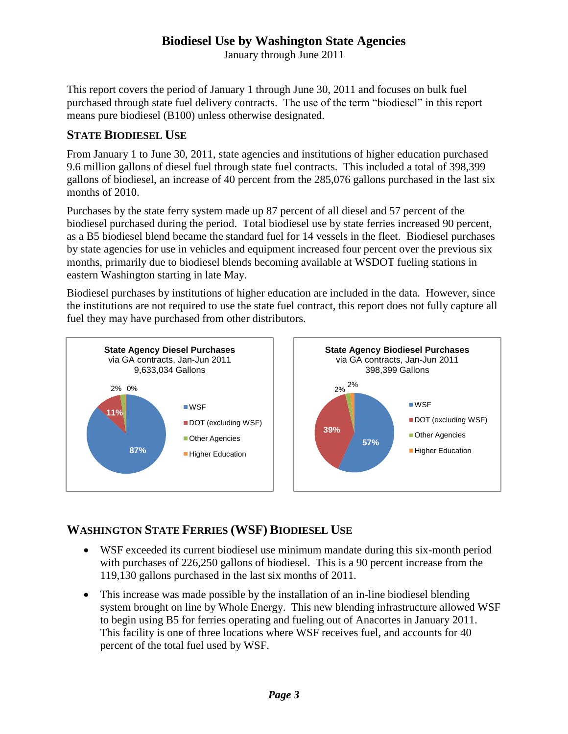January through June 2011

This report covers the period of January 1 through June 30, 2011 and focuses on bulk fuel purchased through state fuel delivery contracts. The use of the term "biodiesel" in this report means pure biodiesel (B100) unless otherwise designated.

#### **STATE BIODIESEL USE**

From January 1 to June 30, 2011, state agencies and institutions of higher education purchased 9.6 million gallons of diesel fuel through state fuel contracts. This included a total of 398,399 gallons of biodiesel, an increase of 40 percent from the 285,076 gallons purchased in the last six months of 2010.

Purchases by the state ferry system made up 87 percent of all diesel and 57 percent of the biodiesel purchased during the period. Total biodiesel use by state ferries increased 90 percent, as a B5 biodiesel blend became the standard fuel for 14 vessels in the fleet. Biodiesel purchases by state agencies for use in vehicles and equipment increased four percent over the previous six months, primarily due to biodiesel blends becoming available at WSDOT fueling stations in eastern Washington starting in late May.

Biodiesel purchases by institutions of higher education are included in the data. However, since the institutions are not required to use the state fuel contract, this report does not fully capture all fuel they may have purchased from other distributors.



# **WASHINGTON STATE FERRIES (WSF) BIODIESEL USE**

- WSF exceeded its current biodiesel use minimum mandate during this six-month period with purchases of 226,250 gallons of biodiesel. This is a 90 percent increase from the 119,130 gallons purchased in the last six months of 2011.
- This increase was made possible by the installation of an in-line biodiesel blending system brought on line by Whole Energy. This new blending infrastructure allowed WSF to begin using B5 for ferries operating and fueling out of Anacortes in January 2011. This facility is one of three locations where WSF receives fuel, and accounts for 40 percent of the total fuel used by WSF.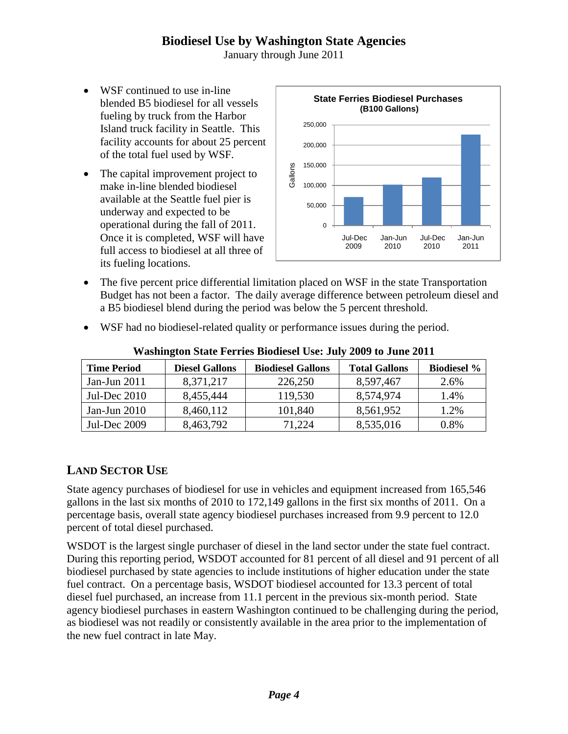January through June 2011

- WSF continued to use in-line blended B5 biodiesel for all vessels fueling by truck from the Harbor Island truck facility in Seattle. This facility accounts for about 25 percent of the total fuel used by WSF.
- The capital improvement project to make in-line blended biodiesel available at the Seattle fuel pier is underway and expected to be operational during the fall of 2011. Once it is completed, WSF will have full access to biodiesel at all three of its fueling locations.



- The five percent price differential limitation placed on WSF in the state Transportation Budget has not been a factor. The daily average difference between petroleum diesel and a B5 biodiesel blend during the period was below the 5 percent threshold.
- WSF had no biodiesel-related quality or performance issues during the period.

| <b>Time Period</b> | <b>Diesel Gallons</b> | <b>Biodiesel Gallons</b><br><b>Total Gallons</b> |           | <b>Biodiesel</b> % |  |
|--------------------|-----------------------|--------------------------------------------------|-----------|--------------------|--|
| Jan-Jun $2011$     | 8,371,217             | 226,250                                          | 8,597,467 | 2.6%               |  |
| Jul-Dec $2010$     | 8,455,444             | 119,530                                          | 8,574,974 | 1.4%               |  |
| Jan-Jun $2010$     | 8,460,112             | 101,840                                          | 8,561,952 | 1.2%               |  |
| Jul-Dec 2009       | 8,463,792             | 71.224                                           | 8,535,016 | 0.8%               |  |

#### **Washington State Ferries Biodiesel Use: July 2009 to June 2011**

#### **LAND SECTOR USE**

State agency purchases of biodiesel for use in vehicles and equipment increased from 165,546 gallons in the last six months of 2010 to 172,149 gallons in the first six months of 2011. On a percentage basis, overall state agency biodiesel purchases increased from 9.9 percent to 12.0 percent of total diesel purchased.

WSDOT is the largest single purchaser of diesel in the land sector under the state fuel contract. During this reporting period, WSDOT accounted for 81 percent of all diesel and 91 percent of all biodiesel purchased by state agencies to include institutions of higher education under the state fuel contract. On a percentage basis, WSDOT biodiesel accounted for 13.3 percent of total diesel fuel purchased, an increase from 11.1 percent in the previous six-month period. State agency biodiesel purchases in eastern Washington continued to be challenging during the period, as biodiesel was not readily or consistently available in the area prior to the implementation of the new fuel contract in late May.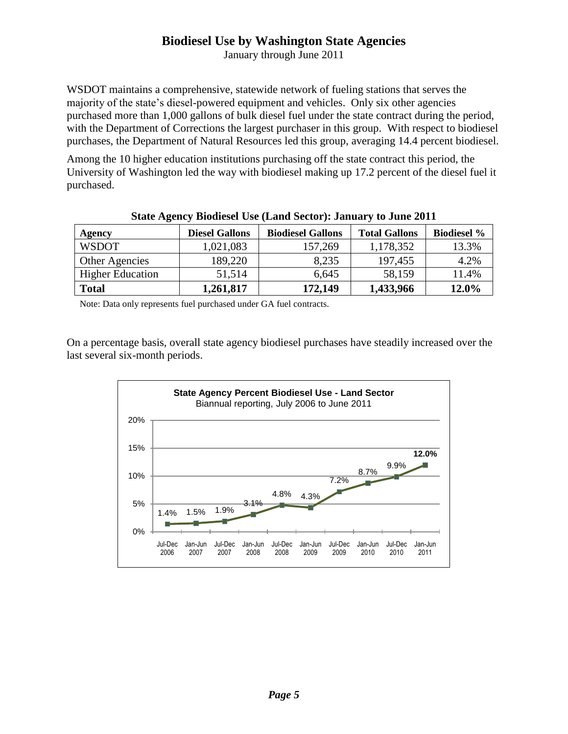January through June 2011

WSDOT maintains a comprehensive, statewide network of fueling stations that serves the majority of the state's diesel-powered equipment and vehicles. Only six other agencies purchased more than 1,000 gallons of bulk diesel fuel under the state contract during the period, with the Department of Corrections the largest purchaser in this group. With respect to biodiesel purchases, the Department of Natural Resources led this group, averaging 14.4 percent biodiesel.

Among the 10 higher education institutions purchasing off the state contract this period, the University of Washington led the way with biodiesel making up 17.2 percent of the diesel fuel it purchased.

| Agency                  | <b>Diesel Gallons</b> | <b>Biodiesel Gallons</b> | <b>Total Gallons</b> | <b>Biodiesel %</b> |  |  |
|-------------------------|-----------------------|--------------------------|----------------------|--------------------|--|--|
| <b>WSDOT</b>            | 1,021,083             | 157,269                  | 1,178,352            | 13.3%              |  |  |
| Other Agencies          | 189,220               | 8,235                    | 197,455              | 4.2%               |  |  |
| <b>Higher Education</b> | 51,514                | 6,645                    | 58,159               | 11.4%              |  |  |
| <b>Total</b>            | 1,261,817             | 172,149                  | 1,433,966            | 12.0%              |  |  |

**State Agency Biodiesel Use (Land Sector): January to June 2011**

Note: Data only represents fuel purchased under GA fuel contracts.

On a percentage basis, overall state agency biodiesel purchases have steadily increased over the last several six-month periods.

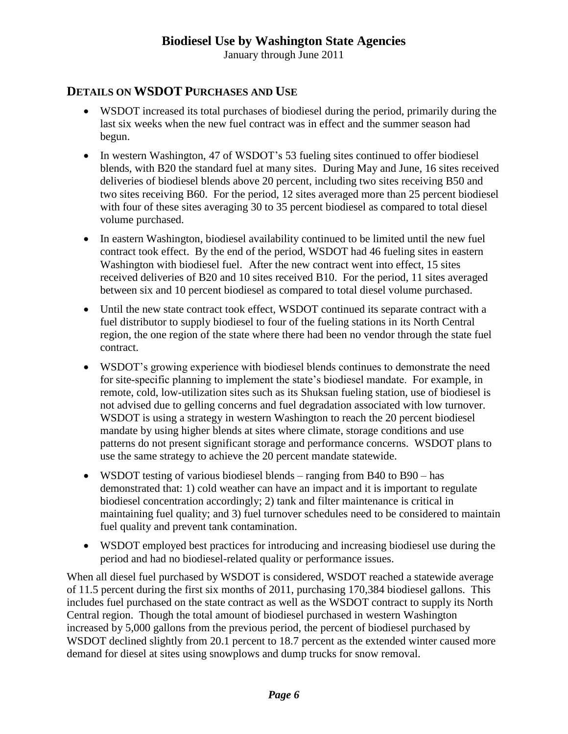January through June 2011

#### **DETAILS ON WSDOT PURCHASES AND USE**

- WSDOT increased its total purchases of biodiesel during the period, primarily during the last six weeks when the new fuel contract was in effect and the summer season had begun.
- In western Washington, 47 of WSDOT's 53 fueling sites continued to offer biodiesel blends, with B20 the standard fuel at many sites. During May and June, 16 sites received deliveries of biodiesel blends above 20 percent, including two sites receiving B50 and two sites receiving B60. For the period, 12 sites averaged more than 25 percent biodiesel with four of these sites averaging 30 to 35 percent biodiesel as compared to total diesel volume purchased.
- In eastern Washington, biodiesel availability continued to be limited until the new fuel contract took effect. By the end of the period, WSDOT had 46 fueling sites in eastern Washington with biodiesel fuel. After the new contract went into effect, 15 sites received deliveries of B20 and 10 sites received B10. For the period, 11 sites averaged between six and 10 percent biodiesel as compared to total diesel volume purchased.
- Until the new state contract took effect, WSDOT continued its separate contract with a fuel distributor to supply biodiesel to four of the fueling stations in its North Central region, the one region of the state where there had been no vendor through the state fuel contract.
- WSDOT's growing experience with biodiesel blends continues to demonstrate the need for site-specific planning to implement the state's biodiesel mandate. For example, in remote, cold, low-utilization sites such as its Shuksan fueling station, use of biodiesel is not advised due to gelling concerns and fuel degradation associated with low turnover. WSDOT is using a strategy in western Washington to reach the 20 percent biodiesel mandate by using higher blends at sites where climate, storage conditions and use patterns do not present significant storage and performance concerns. WSDOT plans to use the same strategy to achieve the 20 percent mandate statewide.
- WSDOT testing of various biodiesel blends ranging from B40 to B90 has demonstrated that: 1) cold weather can have an impact and it is important to regulate biodiesel concentration accordingly; 2) tank and filter maintenance is critical in maintaining fuel quality; and 3) fuel turnover schedules need to be considered to maintain fuel quality and prevent tank contamination.
- WSDOT employed best practices for introducing and increasing biodiesel use during the period and had no biodiesel-related quality or performance issues.

When all diesel fuel purchased by WSDOT is considered, WSDOT reached a statewide average of 11.5 percent during the first six months of 2011, purchasing 170,384 biodiesel gallons. This includes fuel purchased on the state contract as well as the WSDOT contract to supply its North Central region. Though the total amount of biodiesel purchased in western Washington increased by 5,000 gallons from the previous period, the percent of biodiesel purchased by WSDOT declined slightly from 20.1 percent to 18.7 percent as the extended winter caused more demand for diesel at sites using snowplows and dump trucks for snow removal.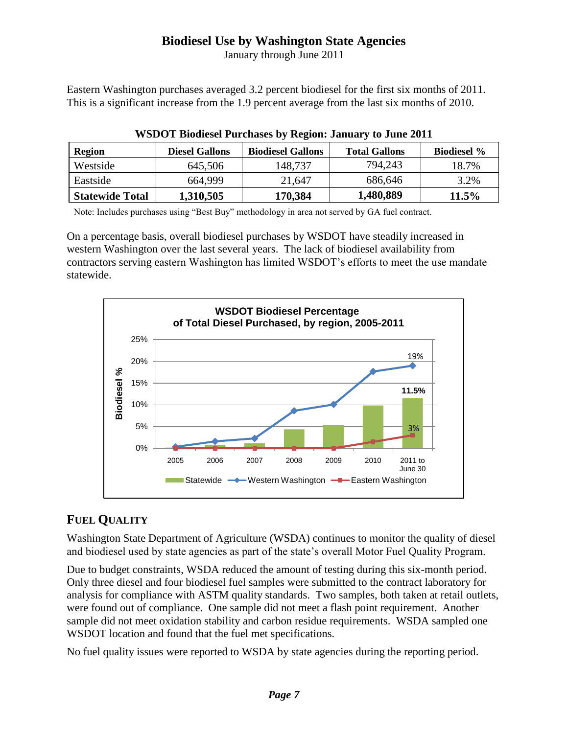January through June 2011

Eastern Washington purchases averaged 3.2 percent biodiesel for the first six months of 2011. This is a significant increase from the 1.9 percent average from the last six months of 2010.

| Region          | <b>Diesel Gallons</b> | <b>Biodiesel Gallons</b> | <b>Total Gallons</b> | <b>Biodiesel</b> % |
|-----------------|-----------------------|--------------------------|----------------------|--------------------|
| Westside        | 645,506               | 148,737                  | 794,243              | 18.7%              |
| Eastside        | 664.999               | 21.647                   | 686,646              | 3.2%               |
| Statewide Total | 1,310,505             | 170,384                  | 1,480,889            | 11.5%              |

| <b>WSDOT Biodiesel Purchases by Region: January to June 2011</b> |  |  |  |
|------------------------------------------------------------------|--|--|--|

Note: Includes purchases using "Best Buy" methodology in area not served by GA fuel contract.

On a percentage basis, overall biodiesel purchases by WSDOT have steadily increased in western Washington over the last several years. The lack of biodiesel availability from contractors serving eastern Washington has limited WSDOT's efforts to meet the use mandate statewide.



# **FUEL QUALITY**

Washington State Department of Agriculture (WSDA) continues to monitor the quality of diesel and biodiesel used by state agencies as part of the state's overall Motor Fuel Quality Program.

Due to budget constraints, WSDA reduced the amount of testing during this six-month period. Only three diesel and four biodiesel fuel samples were submitted to the contract laboratory for analysis for compliance with ASTM quality standards. Two samples, both taken at retail outlets, were found out of compliance. One sample did not meet a flash point requirement. Another sample did not meet oxidation stability and carbon residue requirements. WSDA sampled one WSDOT location and found that the fuel met specifications.

No fuel quality issues were reported to WSDA by state agencies during the reporting period.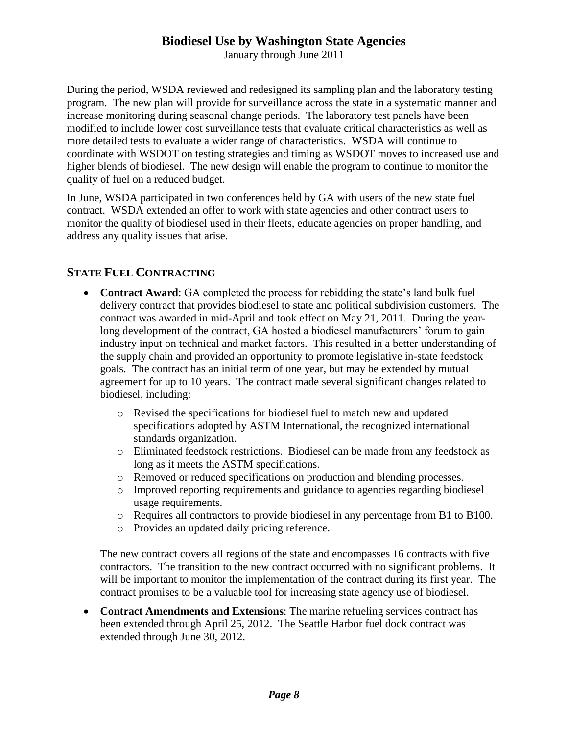January through June 2011

During the period, WSDA reviewed and redesigned its sampling plan and the laboratory testing program. The new plan will provide for surveillance across the state in a systematic manner and increase monitoring during seasonal change periods. The laboratory test panels have been modified to include lower cost surveillance tests that evaluate critical characteristics as well as more detailed tests to evaluate a wider range of characteristics. WSDA will continue to coordinate with WSDOT on testing strategies and timing as WSDOT moves to increased use and higher blends of biodiesel. The new design will enable the program to continue to monitor the quality of fuel on a reduced budget.

In June, WSDA participated in two conferences held by GA with users of the new state fuel contract. WSDA extended an offer to work with state agencies and other contract users to monitor the quality of biodiesel used in their fleets, educate agencies on proper handling, and address any quality issues that arise.

# **STATE FUEL CONTRACTING**

- **Contract Award:** GA completed the process for rebidding the state's land bulk fuel delivery contract that provides biodiesel to state and political subdivision customers. The contract was awarded in mid-April and took effect on May 21, 2011. During the yearlong development of the contract, GA hosted a biodiesel manufacturers' forum to gain industry input on technical and market factors. This resulted in a better understanding of the supply chain and provided an opportunity to promote legislative in-state feedstock goals. The contract has an initial term of one year, but may be extended by mutual agreement for up to 10 years. The contract made several significant changes related to biodiesel, including:
	- o Revised the specifications for biodiesel fuel to match new and updated specifications adopted by ASTM International, the recognized international standards organization.
	- o Eliminated feedstock restrictions. Biodiesel can be made from any feedstock as long as it meets the ASTM specifications.
	- o Removed or reduced specifications on production and blending processes.
	- o Improved reporting requirements and guidance to agencies regarding biodiesel usage requirements.
	- o Requires all contractors to provide biodiesel in any percentage from B1 to B100.
	- o Provides an updated daily pricing reference.

The new contract covers all regions of the state and encompasses 16 contracts with five contractors. The transition to the new contract occurred with no significant problems. It will be important to monitor the implementation of the contract during its first year. The contract promises to be a valuable tool for increasing state agency use of biodiesel.

 **Contract Amendments and Extensions**: The marine refueling services contract has been extended through April 25, 2012. The Seattle Harbor fuel dock contract was extended through June 30, 2012.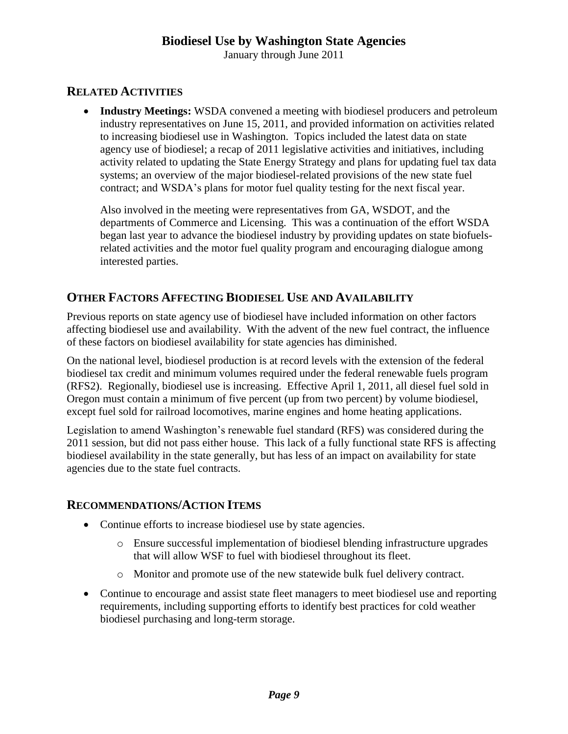January through June 2011

#### **RELATED ACTIVITIES**

 **Industry Meetings:** WSDA convened a meeting with biodiesel producers and petroleum industry representatives on June 15, 2011, and provided information on activities related to increasing biodiesel use in Washington. Topics included the latest data on state agency use of biodiesel; a recap of 2011 legislative activities and initiatives, including activity related to updating the State Energy Strategy and plans for updating fuel tax data systems; an overview of the major biodiesel-related provisions of the new state fuel contract; and WSDA's plans for motor fuel quality testing for the next fiscal year.

Also involved in the meeting were representatives from GA, WSDOT, and the departments of Commerce and Licensing. This was a continuation of the effort WSDA began last year to advance the biodiesel industry by providing updates on state biofuelsrelated activities and the motor fuel quality program and encouraging dialogue among interested parties.

#### **OTHER FACTORS AFFECTING BIODIESEL USE AND AVAILABILITY**

Previous reports on state agency use of biodiesel have included information on other factors affecting biodiesel use and availability. With the advent of the new fuel contract, the influence of these factors on biodiesel availability for state agencies has diminished.

On the national level, biodiesel production is at record levels with the extension of the federal biodiesel tax credit and minimum volumes required under the federal renewable fuels program (RFS2). Regionally, biodiesel use is increasing. Effective April 1, 2011, all diesel fuel sold in Oregon must contain a minimum of five percent (up from two percent) by volume biodiesel, except fuel sold for railroad locomotives, marine engines and home heating applications.

Legislation to amend Washington's renewable fuel standard (RFS) was considered during the 2011 session, but did not pass either house. This lack of a fully functional state RFS is affecting biodiesel availability in the state generally, but has less of an impact on availability for state agencies due to the state fuel contracts.

#### **RECOMMENDATIONS/ACTION ITEMS**

- Continue efforts to increase biodiesel use by state agencies.
	- o Ensure successful implementation of biodiesel blending infrastructure upgrades that will allow WSF to fuel with biodiesel throughout its fleet.
	- o Monitor and promote use of the new statewide bulk fuel delivery contract.
- Continue to encourage and assist state fleet managers to meet biodiesel use and reporting requirements, including supporting efforts to identify best practices for cold weather biodiesel purchasing and long-term storage.